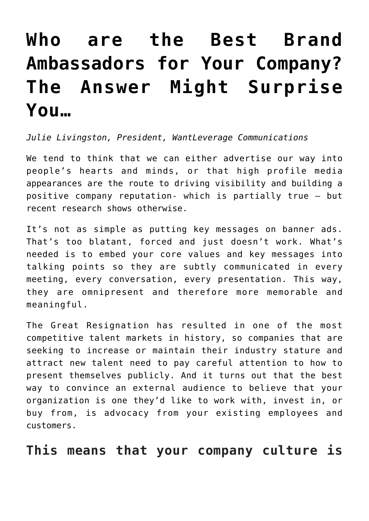## **[Who are the Best Brand](https://www.commpro.biz/who-are-the-best-brand-ambassadors-for-your-company-the-answer-might-surprise-you/) [Ambassadors for Your Company?](https://www.commpro.biz/who-are-the-best-brand-ambassadors-for-your-company-the-answer-might-surprise-you/) [The Answer Might Surprise](https://www.commpro.biz/who-are-the-best-brand-ambassadors-for-your-company-the-answer-might-surprise-you/) [You…](https://www.commpro.biz/who-are-the-best-brand-ambassadors-for-your-company-the-answer-might-surprise-you/)**

*Julie Livingston, President[, WantLeverage Communications](http://www.wantleverage.com)*

We tend to think that we can either advertise our way into people's hearts and minds, or that high profile media appearances are the route to driving visibility and building a positive company reputation- which is partially true – but recent research shows otherwise.

It's not as simple as putting key messages on banner ads. That's too blatant, forced and just doesn't work. What's needed is to embed your core values and key messages into talking points so they are subtly communicated in every meeting, every conversation, every presentation. This way, they are omnipresent and therefore more memorable and meaningful.

The Great Resignation has resulted in one of the most competitive talent markets in history, so companies that are seeking to increase or maintain their industry stature and attract new talent need to pay careful attention to how to present themselves publicly. And it turns out that the best way to convince an external audience to believe that your organization is one they'd like to work with, invest in, or buy from, is advocacy from your existing employees and customers.

**This means that your company culture is**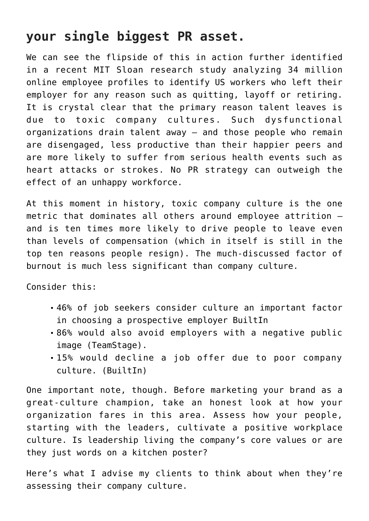## **your single biggest PR asset.**

We can see the flipside of this in action further identified in a recent [MIT Sloan](https://sloanreview.mit.edu/article/toxic-culture-is-driving-the-great-resignation/) research study analyzing 34 million online employee profiles to identify US workers who left their employer for any reason such as quitting, layoff or retiring. It is crystal clear that the primary reason talent leaves is due to toxic company cultures. Such dysfunctional organizations drain talent away – and those people who remain are disengaged, less productive than their happier peers and are more likely to suffer from serious health events such as heart attacks or strokes. No PR strategy can outweigh the effect of an unhappy workforce.

At this moment in history, toxic company culture is the one metric that dominates all others around employee attrition – and is ten times more likely to drive people to leave even than levels of compensation (which in itself is still in the top ten reasons people resign). The much-discussed factor of burnout is much less significant than company culture.

Consider this:

- 46% of job seekers consider [culture an important factor](https://teamstage.io/company-culture-statistics/#:~:text=Company%20culture%20is%20an%20important,companies%20with%20a%20bad%20reputation.) in choosing a prospective employer [BuiltIn](https://builtin.com/company-culture/company-culture-statistics#:~:text=Image%20via%20Shutterstock-,46%25%20of%20job%20seekers%20cite%20company%20culture%20as%20very%20important,employers%20by%20their%20company%20culture.)
- 86% would also avoid employers with a negative public image [\(TeamStage](https://teamstage.io/company-culture-statistics/)).
- 15% would decline a job offer due to poor company culture. ([BuiltIn](https://builtin.com/company-culture/company-culture-statistics#:~:text=Image%20via%20Shutterstock-,46%25%20of%20job%20seekers%20cite%20company%20culture%20as%20very%20important,employers%20by%20their%20company%20culture.))

One important note, though. Before marketing your brand as a great-culture champion, take an honest look at how your organization fares in this area. Assess how your people, starting with the leaders, cultivate a positive workplace culture. Is leadership living the company's core values or are they just words on a kitchen poster?

Here's what I advise my clients to think about when they're assessing their company culture.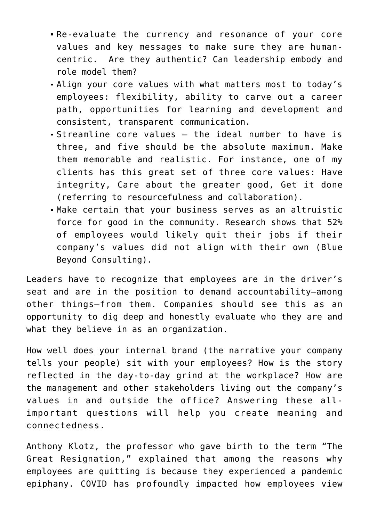- Re-evaluate the currency and resonance of your core values and key messages to make sure they are humancentric. Are they authentic? Can leadership embody and role model them?
- Align your core values with what matters most to today's employees: flexibility, ability to carve out a career path, opportunities for learning and development and consistent, transparent communication.
- Streamline core values the ideal number to have is three, and five should be the absolute maximum. Make them memorable and realistic. For instance, one of my clients has this great set of three core values: Have integrity, Care about the greater good, Get it done (referring to resourcefulness and collaboration).
- Make certain that your business serves as an altruistic force for good in the community. Research shows that 52% of employees would likely quit their jobs if their company's values did not align with their own ([Blue](https://www.prnewswire.com/news-releases/the-great-resignation-a-majority-of-employees-would-quit-their-job--and-only-1-in-4-workers-would-accept-one--if-company-values-do-not-align-with-personal-values-301404919.html) [Beyond Consulting](https://www.prnewswire.com/news-releases/the-great-resignation-a-majority-of-employees-would-quit-their-job--and-only-1-in-4-workers-would-accept-one--if-company-values-do-not-align-with-personal-values-301404919.html)).

Leaders have to recognize that employees are in the driver's seat and are in the position to demand accountability—among other things—from them. Companies should see this as an opportunity to dig deep and honestly evaluate who they are and what they believe in as an organization.

How well does your internal brand (the narrative your company tells your people) sit with your employees? How is the story reflected in the day-to-day grind at the workplace? How are the management and other stakeholders living out the company's values in and outside the office? Answering these allimportant questions will help you create meaning and connectedness.

[Anthony Klotz](https://today.tamu.edu/2022/02/11/the-texas-am-professor-who-predicted-the-great-resignation/), the professor who gave birth to the term "The Great Resignation," explained that among the reasons why employees are quitting is because they experienced a pandemic epiphany. COVID has profoundly impacted how employees view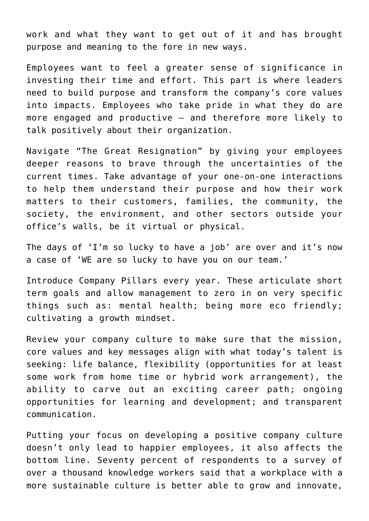work and what they want to get out of it and has brought purpose and meaning to the fore in new ways.

Employees want to feel a greater sense of significance in investing their time and effort. This part is where leaders need to build purpose and transform the company's core values into impacts. Employees who take pride in what they do are more engaged and productive – and therefore more likely to talk positively about their organization.

Navigate "The Great Resignation" by giving your employees deeper reasons to brave through the uncertainties of the current times. Take advantage of your one-on-one interactions to help them understand their purpose and how their work matters to their customers, families, the community, the society, the environment, and other sectors outside your office's walls, be it virtual or physical.

The days of 'I'm so lucky to have a job' are over and it's now a case of 'WE are so lucky to have you on our team.'

Introduce Company Pillars every year. These articulate short term goals and allow management to zero in on very specific things such as: mental health; being more eco friendly; cultivating a growth mindset.

Review your company culture to make sure that the mission, core values and key messages align with what today's talent is seeking: life balance, flexibility (opportunities for at least some work from home time or hybrid work arrangement), the ability to carve out an exciting career path; ongoing opportunities for learning and development; and transparent communication.

Putting your focus on developing a positive company culture doesn't only lead to happier employees, it also affects the bottom line. Seventy percent of respondents to a survey of over a thousand knowledge workers said that a workplace with a more sustainable culture is better able to grow and innovate,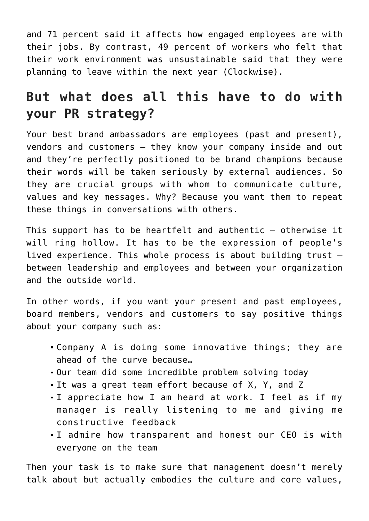and 71 percent said it affects how engaged employees are with their jobs. By contrast, 49 percent of workers who felt that their work environment was unsustainable said that they were planning to leave within the next year ([Clockwise\)](https://www.prnewswire.com/news-releases/women-feeling-the-pressure-from-unsustainable-workplace-cultures-301498788.html).

## **But what does all this have to do with your PR strategy?**

Your best brand ambassadors are employees (past and present), vendors and customers – they know your company inside and out and they're perfectly positioned to be brand champions because their words will be taken seriously by external audiences. So they are crucial groups with whom to communicate culture, values and key messages. Why? Because you want them to repeat these things in conversations with others.

This support has to be heartfelt and authentic – otherwise it will ring hollow. It has to be the expression of people's lived experience. This whole process is about building trust – between leadership and employees and between your organization and the outside world.

In other words, if you want your present and past employees, board members, vendors and customers to say positive things about your company such as:

- Company A is doing some innovative things; they are ahead of the curve because…
- Our team did some incredible problem solving today
- It was a great team effort because of X, Y, and Z
- I appreciate how I am heard at work. I feel as if my manager is really listening to me and giving me constructive feedback
- I admire how transparent and honest our CEO is with everyone on the team

Then your task is to make sure that management doesn't merely talk about but actually embodies the culture and core [values,](https://www.commpro.biz/why-a-united-front-between-pr-and-hr-can-achieve-in-the-great-resignation/)